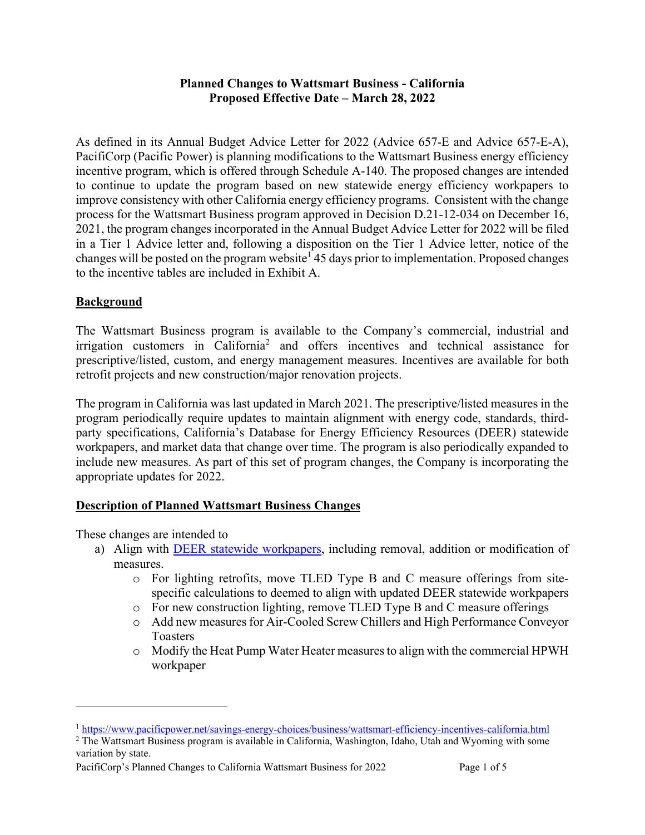#### **Planned Changes to Wattsmart Business - California Proposed Effective Date – March 28, 2022**

As defined in its Annual Budget Advice Letter for 2022 (Advice 657-E and Advice 657-E-A), PacifiCorp (Pacific Power) is planning modifications to the Wattsmart Business energy efficiency incentive program, which is offered through Schedule A-140. The proposed changes are intended to continue to update the program based on new statewide energy efficiency workpapers to improve consistency with other California energy efficiency programs. Consistent with the change process for the Wattsmart Business program approved in Decision D.21-12-034 on December 16, 2021, the program changes incorporated in the Annual Budget Advice Letter for 2022 will be filed in a Tier 1 Advice letter and, following a disposition on the Tier 1 Advice letter, notice of the changes will be posted on the program website<sup>1</sup> 45 days prior to implementation. Proposed changes to the incentive tables are included in Exhibit A.

# **Background**

The Wattsmart Business program is available to the Company's commercial, industrial and irrigation customers in California<sup>2</sup> and offers incentives and technical assistance for prescriptive/listed, custom, and energy management measures. Incentives are available for both retrofit projects and new construction/major renovation projects.

The program in California was last updated in March 2021. The prescriptive/listed measures in the program periodically require updates to maintain alignment with energy code, standards, thirdparty specifications, California's Database for Energy Efficiency Resources (DEER) statewide workpapers, and market data that change over time. The program is also periodically expanded to include new measures. As part of this set of program changes, the Company is incorporating the appropriate updates for 2022.

# **Description of Planned Wattsmart Business Changes**

These changes are intended to

- a) Align with DEER statewide workpapers, including removal, addition or modification of measures.
	- o For lighting retrofits, move TLED Type B and C measure offerings from sitespecific calculations to deemed to align with updated DEER statewide workpapers
	- o For new construction lighting, remove TLED Type B and C measure offerings
	- o Add new measures for Air-Cooled Screw Chillers and High Performance Conveyor Toasters
	- o Modify the Heat Pump Water Heater measures to align with the commercial HPWH workpaper

<sup>1</sup> https://www.pacificpower.net/savings-energy-choices/business/wattsmart-efficiency-incentives-california.html

<sup>&</sup>lt;sup>2</sup> The Wattsmart Business program is available in California, Washington, Idaho, Utah and Wyoming with some variation by state.

PacifiCorp's Planned Changes to California Wattsmart Business for 2022 Page 1 of 5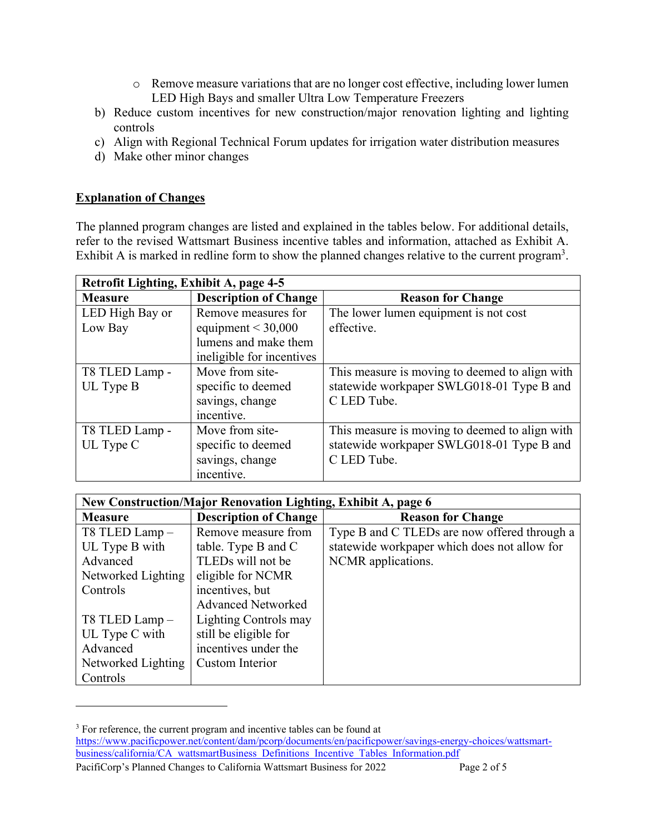- o Remove measure variations that are no longer cost effective, including lower lumen LED High Bays and smaller Ultra Low Temperature Freezers
- b) Reduce custom incentives for new construction/major renovation lighting and lighting controls
- c) Align with Regional Technical Forum updates for irrigation water distribution measures
- d) Make other minor changes

# **Explanation of Changes**

The planned program changes are listed and explained in the tables below. For additional details, refer to the revised Wattsmart Business incentive tables and information, attached as Exhibit A. Exhibit A is marked in redline form to show the planned changes relative to the current program<sup>3</sup>.

| Retrofit Lighting, Exhibit A, page 4-5 |                              |                                                |
|----------------------------------------|------------------------------|------------------------------------------------|
| <b>Measure</b>                         | <b>Description of Change</b> | <b>Reason for Change</b>                       |
| LED High Bay or                        | Remove measures for          | The lower lumen equipment is not cost          |
| Low Bay                                | equipment $<$ 30,000         | effective.                                     |
|                                        | lumens and make them         |                                                |
|                                        | ineligible for incentives    |                                                |
| T8 TLED Lamp -                         | Move from site-              | This measure is moving to deemed to align with |
| UL Type B                              | specific to deemed           | statewide workpaper SWLG018-01 Type B and      |
|                                        | savings, change              | C LED Tube.                                    |
|                                        | incentive.                   |                                                |
| T8 TLED Lamp -                         | Move from site-              | This measure is moving to deemed to align with |
| UL Type C                              | specific to deemed           | statewide workpaper SWLG018-01 Type B and      |
|                                        | savings, change              | C LED Tube.                                    |
|                                        | incentive.                   |                                                |

| New Construction/Major Renovation Lighting, Exhibit A, page 6 |                              |                                              |  |
|---------------------------------------------------------------|------------------------------|----------------------------------------------|--|
| <b>Measure</b>                                                | <b>Description of Change</b> | <b>Reason for Change</b>                     |  |
| T8 TLED Lamp-                                                 | Remove measure from          | Type B and C TLEDs are now offered through a |  |
| UL Type B with                                                | table. Type B and C          | statewide workpaper which does not allow for |  |
| Advanced                                                      | TLEDs will not be            | NCMR applications.                           |  |
| Networked Lighting                                            | eligible for NCMR            |                                              |  |
| Controls                                                      | incentives, but              |                                              |  |
|                                                               | <b>Advanced Networked</b>    |                                              |  |
| T8 TLED Lamp -                                                | Lighting Controls may        |                                              |  |
| UL Type C with                                                | still be eligible for        |                                              |  |
| Advanced                                                      | incentives under the         |                                              |  |
| Networked Lighting                                            | Custom Interior              |                                              |  |
| Controls                                                      |                              |                                              |  |

PacifiCorp's Planned Changes to California Wattsmart Business for 2022 Page 2 of 5 <sup>3</sup> For reference, the current program and incentive tables can be found at https://www.pacificpower.net/content/dam/pcorp/documents/en/pacificpower/savings-energy-choices/wattsmartbusiness/california/CA\_wattsmartBusiness\_Definitions\_Incentive\_Tables\_Information.pdf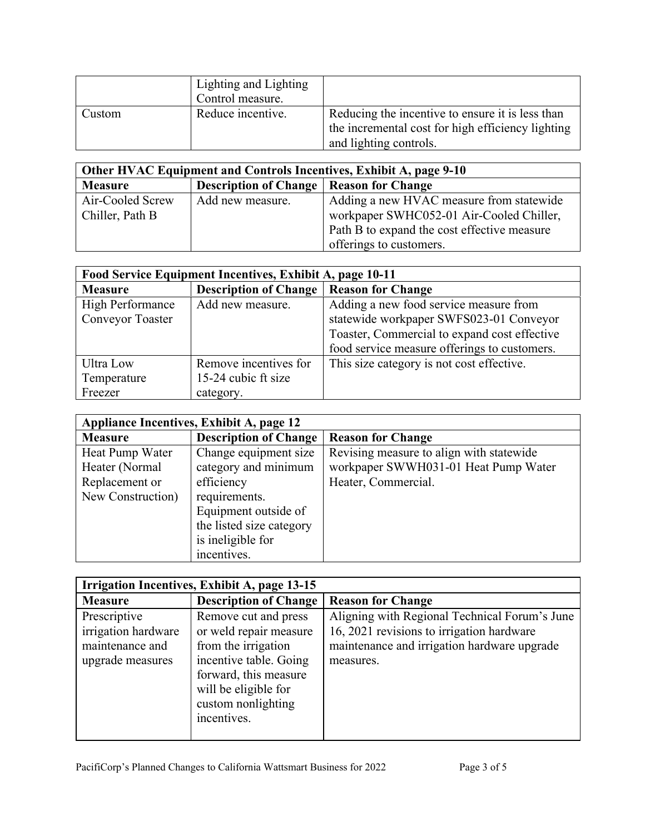|        | Lighting and Lighting<br>Control measure. |                                                                                                                                 |
|--------|-------------------------------------------|---------------------------------------------------------------------------------------------------------------------------------|
| Custom | Reduce incentive.                         | Reducing the incentive to ensure it is less than<br>the incremental cost for high efficiency lighting<br>and lighting controls. |

| Other HVAC Equipment and Controls Incentives, Exhibit A, page 9-10 |                                                  |                                             |
|--------------------------------------------------------------------|--------------------------------------------------|---------------------------------------------|
| <b>Measure</b>                                                     | <b>Description of Change   Reason for Change</b> |                                             |
| Air-Cooled Screw                                                   | Add new measure.                                 | Adding a new HVAC measure from statewide    |
| Chiller, Path B                                                    |                                                  | workpaper SWHC052-01 Air-Cooled Chiller,    |
|                                                                    |                                                  | Path B to expand the cost effective measure |
|                                                                    |                                                  | offerings to customers.                     |

| Food Service Equipment Incentives, Exhibit A, page 10-11 |                              |                                              |  |
|----------------------------------------------------------|------------------------------|----------------------------------------------|--|
| <b>Measure</b>                                           | <b>Description of Change</b> | <b>Reason for Change</b>                     |  |
| High Performance                                         | Add new measure.             | Adding a new food service measure from       |  |
| <b>Conveyor Toaster</b>                                  |                              | statewide workpaper SWFS023-01 Conveyor      |  |
|                                                          |                              | Toaster, Commercial to expand cost effective |  |
|                                                          |                              | food service measure offerings to customers. |  |
| Ultra Low                                                | Remove incentives for        | This size category is not cost effective.    |  |
| Temperature                                              | 15-24 cubic ft size          |                                              |  |
| Freezer                                                  | category.                    |                                              |  |

| Appliance Incentives, Exhibit A, page 12 |                              |                                          |
|------------------------------------------|------------------------------|------------------------------------------|
| <b>Measure</b>                           | <b>Description of Change</b> | <b>Reason for Change</b>                 |
| Heat Pump Water                          | Change equipment size        | Revising measure to align with statewide |
| Heater (Normal                           | category and minimum         | workpaper SWWH031-01 Heat Pump Water     |
| Replacement or                           | efficiency                   | Heater, Commercial.                      |
| New Construction)                        | requirements.                |                                          |
|                                          | Equipment outside of         |                                          |
|                                          | the listed size category     |                                          |
|                                          | is ineligible for            |                                          |
|                                          | incentives.                  |                                          |

| Irrigation Incentives, Exhibit A, page 13-15                               |                                                                                                                                                                                       |                                                                                                                                                        |
|----------------------------------------------------------------------------|---------------------------------------------------------------------------------------------------------------------------------------------------------------------------------------|--------------------------------------------------------------------------------------------------------------------------------------------------------|
| <b>Measure</b>                                                             | <b>Description of Change</b>                                                                                                                                                          | <b>Reason for Change</b>                                                                                                                               |
| Prescriptive<br>irrigation hardware<br>maintenance and<br>upgrade measures | Remove cut and press<br>or weld repair measure<br>from the irrigation<br>incentive table. Going<br>forward, this measure<br>will be eligible for<br>custom nonlighting<br>incentives. | Aligning with Regional Technical Forum's June<br>16, 2021 revisions to irrigation hardware<br>maintenance and irrigation hardware upgrade<br>measures. |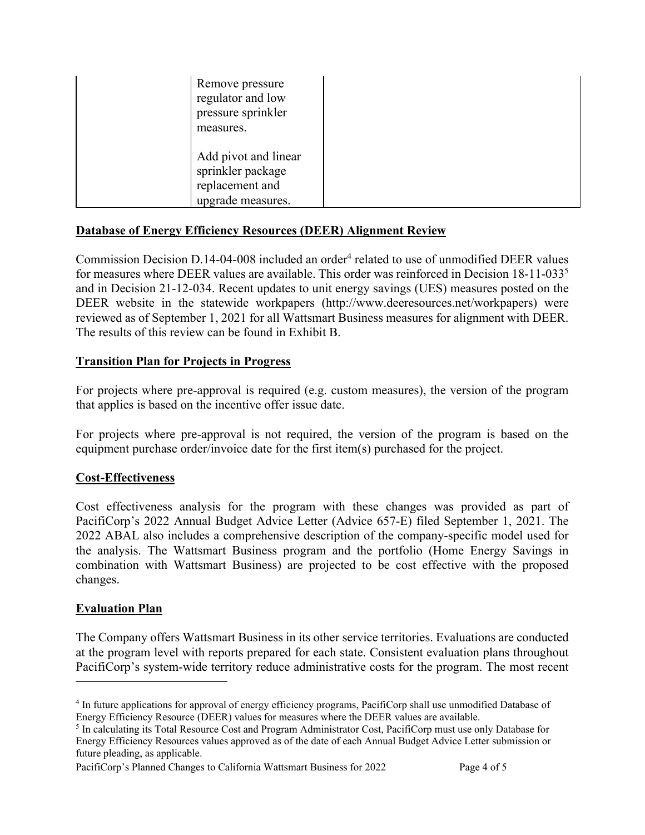| Remove pressure<br>regulator and low<br>pressure sprinkler<br>measures.           |  |
|-----------------------------------------------------------------------------------|--|
| Add pivot and linear<br>sprinkler package<br>replacement and<br>upgrade measures. |  |

# **Database of Energy Efficiency Resources (DEER) Alignment Review**

Commission Decision D.14-04-008 included an order<sup>4</sup> related to use of unmodified DEER values for measures where DEER values are available. This order was reinforced in Decision  $18-11-033^5$ and in Decision 21-12-034. Recent updates to unit energy savings (UES) measures posted on the DEER website in the statewide workpapers (http://www.deeresources.net/workpapers) were reviewed as of September 1, 2021 for all Wattsmart Business measures for alignment with DEER. The results of this review can be found in Exhibit B.

#### **Transition Plan for Projects in Progress**

For projects where pre-approval is required (e.g. custom measures), the version of the program that applies is based on the incentive offer issue date.

For projects where pre-approval is not required, the version of the program is based on the equipment purchase order/invoice date for the first item(s) purchased for the project.

# **Cost-Effectiveness**

Cost effectiveness analysis for the program with these changes was provided as part of PacifiCorp's 2022 Annual Budget Advice Letter (Advice 657-E) filed September 1, 2021. The 2022 ABAL also includes a comprehensive description of the company-specific model used for the analysis. The Wattsmart Business program and the portfolio (Home Energy Savings in combination with Wattsmart Business) are projected to be cost effective with the proposed changes.

#### **Evaluation Plan**

The Company offers Wattsmart Business in its other service territories. Evaluations are conducted at the program level with reports prepared for each state. Consistent evaluation plans throughout PacifiCorp's system-wide territory reduce administrative costs for the program. The most recent

PacifiCorp's Planned Changes to California Wattsmart Business for 2022 Page 4 of 5

<sup>&</sup>lt;sup>4</sup> In future applications for approval of energy efficiency programs, PacifiCorp shall use unmodified Database of Energy Efficiency Resource (DEER) values for measures where the DEER values are available. 5

<sup>&</sup>lt;sup>5</sup> In calculating its Total Resource Cost and Program Administrator Cost, PacifiCorp must use only Database for Energy Efficiency Resources values approved as of the date of each Annual Budget Advice Letter submission or future pleading, as applicable.